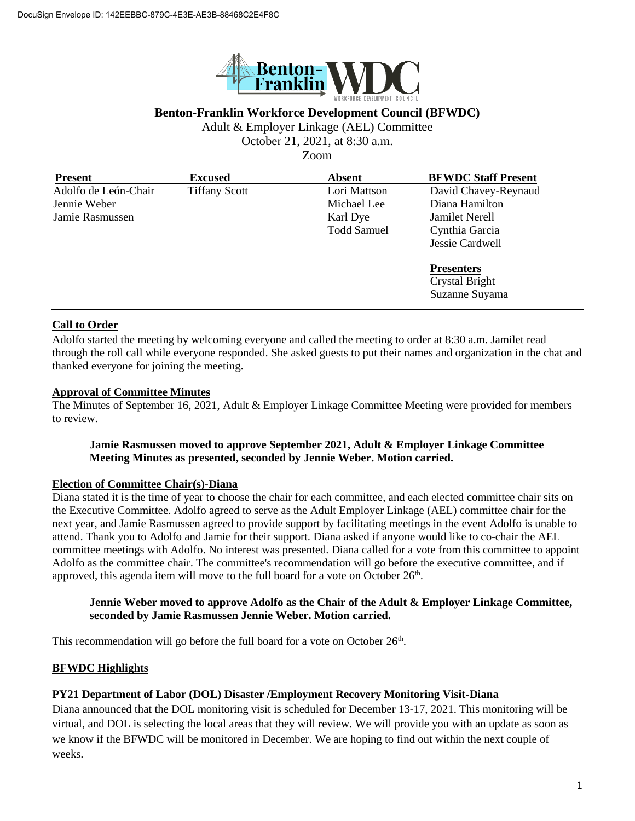

# **Benton-Franklin Workforce Development Council (BFWDC)**

Adult & Employer Linkage (AEL) Committee

October 21, 2021, at 8:30 a.m.

Zoom

| <b>Present</b>       | <b>Excused</b>       | <b>Absent</b>      | <b>BFWDC Staff Present</b> |
|----------------------|----------------------|--------------------|----------------------------|
| Adolfo de León-Chair | <b>Tiffany Scott</b> | Lori Mattson       | David Chavey-Reynaud       |
| Jennie Weber         |                      | Michael Lee        | Diana Hamilton             |
| Jamie Rasmussen      |                      | Karl Dye           | Jamilet Nerell             |
|                      |                      | <b>Todd Samuel</b> | Cynthia Garcia             |
|                      |                      |                    | Jessie Cardwell            |
|                      |                      |                    | <b>Presenters</b>          |
|                      |                      |                    | Crystal Bright             |
|                      |                      |                    | Suzanne Suyama             |

## **Call to Order**

Adolfo started the meeting by welcoming everyone and called the meeting to order at 8:30 a.m. Jamilet read through the roll call while everyone responded. She asked guests to put their names and organization in the chat and thanked everyone for joining the meeting.

## **Approval of Committee Minutes**

The Minutes of September 16, 2021, Adult & Employer Linkage Committee Meeting were provided for members to review.

## **Jamie Rasmussen moved to approve September 2021, Adult & Employer Linkage Committee Meeting Minutes as presented, seconded by Jennie Weber. Motion carried.**

### **Election of Committee Chair(s)-Diana**

Diana stated it is the time of year to choose the chair for each committee, and each elected committee chair sits on the Executive Committee. Adolfo agreed to serve as the Adult Employer Linkage (AEL) committee chair for the next year, and Jamie Rasmussen agreed to provide support by facilitating meetings in the event Adolfo is unable to attend. Thank you to Adolfo and Jamie for their support. Diana asked if anyone would like to co-chair the AEL committee meetings with Adolfo. No interest was presented. Diana called for a vote from this committee to appoint Adolfo as the committee chair. The committee's recommendation will go before the executive committee, and if approved, this agenda item will move to the full board for a vote on October  $26<sup>th</sup>$ .

### **Jennie Weber moved to approve Adolfo as the Chair of the Adult & Employer Linkage Committee, seconded by Jamie Rasmussen Jennie Weber. Motion carried.**

This recommendation will go before the full board for a vote on October  $26<sup>th</sup>$ .

### **BFWDC Highlights**

### **PY21 Department of Labor (DOL) Disaster /Employment Recovery Monitoring Visit-Diana**

Diana announced that the DOL monitoring visit is scheduled for December 13-17, 2021. This monitoring will be virtual, and DOL is selecting the local areas that they will review. We will provide you with an update as soon as we know if the BFWDC will be monitored in December. We are hoping to find out within the next couple of weeks.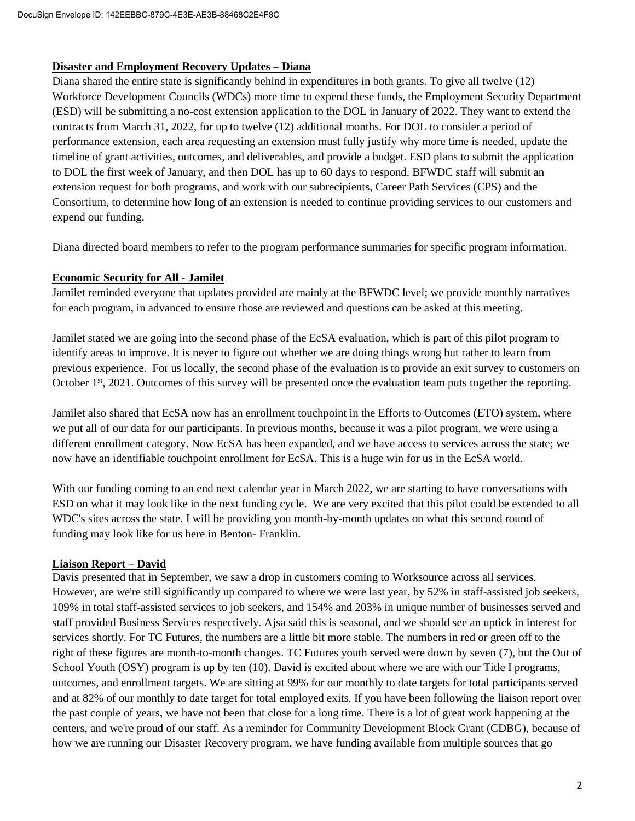### **Disaster and Employment Recovery Updates – Diana**

Diana shared the entire state is significantly behind in expenditures in both grants. To give all twelve (12) Workforce Development Councils (WDCs) more time to expend these funds, the Employment Security Department (ESD) will be submitting a no-cost extension application to the DOL in January of 2022. They want to extend the contracts from March 31, 2022, for up to twelve (12) additional months. For DOL to consider a period of performance extension, each area requesting an extension must fully justify why more time is needed, update the timeline of grant activities, outcomes, and deliverables, and provide a budget. ESD plans to submit the application to DOL the first week of January, and then DOL has up to 60 days to respond. BFWDC staff will submit an extension request for both programs, and work with our subrecipients, Career Path Services (CPS) and the Consortium, to determine how long of an extension is needed to continue providing services to our customers and expend our funding.

Diana directed board members to refer to the program performance summaries for specific program information.

# **Economic Security for All - Jamilet**

Jamilet reminded everyone that updates provided are mainly at the BFWDC level; we provide monthly narratives for each program, in advanced to ensure those are reviewed and questions can be asked at this meeting.

Jamilet stated we are going into the second phase of the EcSA evaluation, which is part of this pilot program to identify areas to improve. It is never to figure out whether we are doing things wrong but rather to learn from previous experience. For us locally, the second phase of the evaluation is to provide an exit survey to customers on October 1st, 2021. Outcomes of this survey will be presented once the evaluation team puts together the reporting.

Jamilet also shared that EcSA now has an enrollment touchpoint in the Efforts to Outcomes (ETO) system, where we put all of our data for our participants. In previous months, because it was a pilot program, we were using a different enrollment category. Now EcSA has been expanded, and we have access to services across the state; we now have an identifiable touchpoint enrollment for EcSA. This is a huge win for us in the EcSA world.

With our funding coming to an end next calendar year in March 2022, we are starting to have conversations with ESD on what it may look like in the next funding cycle. We are very excited that this pilot could be extended to all WDC's sites across the state. I will be providing you month-by-month updates on what this second round of funding may look like for us here in Benton- Franklin.

# **Liaison Report – David**

Davis presented that in September, we saw a drop in customers coming to Worksource across all services. However, are we're still significantly up compared to where we were last year, by 52% in staff-assisted job seekers, 109% in total staff-assisted services to job seekers, and 154% and 203% in unique number of businesses served and staff provided Business Services respectively. Ajsa said this is seasonal, and we should see an uptick in interest for services shortly. For TC Futures, the numbers are a little bit more stable. The numbers in red or green off to the right of these figures are month-to-month changes. TC Futures youth served were down by seven (7), but the Out of School Youth (OSY) program is up by ten (10). David is excited about where we are with our Title I programs, outcomes, and enrollment targets. We are sitting at 99% for our monthly to date targets for total participants served and at 82% of our monthly to date target for total employed exits. If you have been following the liaison report over the past couple of years, we have not been that close for a long time. There is a lot of great work happening at the centers, and we're proud of our staff. As a reminder for Community Development Block Grant (CDBG), because of how we are running our Disaster Recovery program, we have funding available from multiple sources that go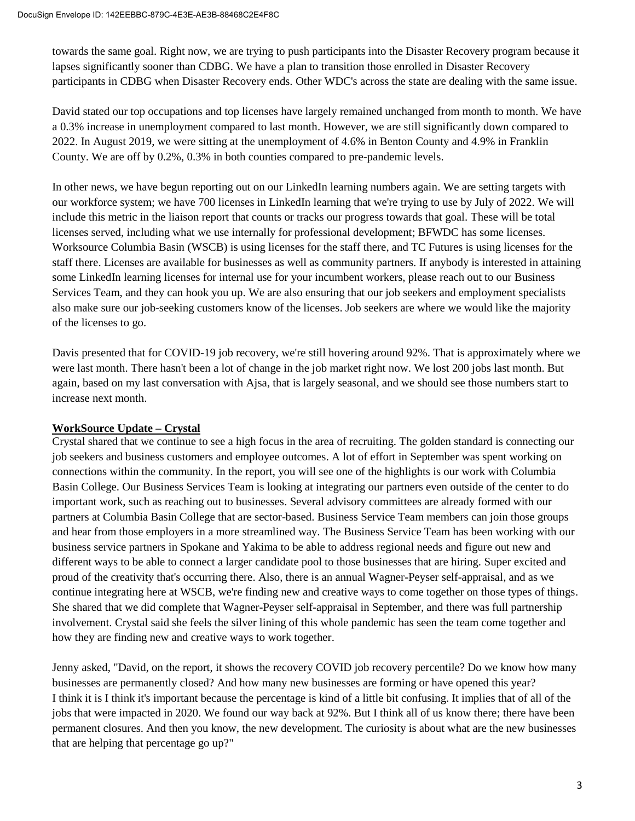towards the same goal. Right now, we are trying to push participants into the Disaster Recovery program because it lapses significantly sooner than CDBG. We have a plan to transition those enrolled in Disaster Recovery participants in CDBG when Disaster Recovery ends. Other WDC's across the state are dealing with the same issue.

David stated our top occupations and top licenses have largely remained unchanged from month to month. We have a 0.3% increase in unemployment compared to last month. However, we are still significantly down compared to 2022. In August 2019, we were sitting at the unemployment of 4.6% in Benton County and 4.9% in Franklin County. We are off by 0.2%, 0.3% in both counties compared to pre-pandemic levels.

In other news, we have begun reporting out on our LinkedIn learning numbers again. We are setting targets with our workforce system; we have 700 licenses in LinkedIn learning that we're trying to use by July of 2022. We will include this metric in the liaison report that counts or tracks our progress towards that goal. These will be total licenses served, including what we use internally for professional development; BFWDC has some licenses. Worksource Columbia Basin (WSCB) is using licenses for the staff there, and TC Futures is using licenses for the staff there. Licenses are available for businesses as well as community partners. If anybody is interested in attaining some LinkedIn learning licenses for internal use for your incumbent workers, please reach out to our Business Services Team, and they can hook you up. We are also ensuring that our job seekers and employment specialists also make sure our job-seeking customers know of the licenses. Job seekers are where we would like the majority of the licenses to go.

Davis presented that for COVID-19 job recovery, we're still hovering around 92%. That is approximately where we were last month. There hasn't been a lot of change in the job market right now. We lost 200 jobs last month. But again, based on my last conversation with Ajsa, that is largely seasonal, and we should see those numbers start to increase next month.

# **WorkSource Update – Crystal**

Crystal shared that we continue to see a high focus in the area of recruiting. The golden standard is connecting our job seekers and business customers and employee outcomes. A lot of effort in September was spent working on connections within the community. In the report, you will see one of the highlights is our work with Columbia Basin College. Our Business Services Team is looking at integrating our partners even outside of the center to do important work, such as reaching out to businesses. Several advisory committees are already formed with our partners at Columbia Basin College that are sector-based. Business Service Team members can join those groups and hear from those employers in a more streamlined way. The Business Service Team has been working with our business service partners in Spokane and Yakima to be able to address regional needs and figure out new and different ways to be able to connect a larger candidate pool to those businesses that are hiring. Super excited and proud of the creativity that's occurring there. Also, there is an annual Wagner-Peyser self-appraisal, and as we continue integrating here at WSCB, we're finding new and creative ways to come together on those types of things. She shared that we did complete that Wagner-Peyser self-appraisal in September, and there was full partnership involvement. Crystal said she feels the silver lining of this whole pandemic has seen the team come together and how they are finding new and creative ways to work together.

Jenny asked, "David, on the report, it shows the recovery COVID job recovery percentile? Do we know how many businesses are permanently closed? And how many new businesses are forming or have opened this year? I think it is I think it's important because the percentage is kind of a little bit confusing. It implies that of all of the jobs that were impacted in 2020. We found our way back at 92%. But I think all of us know there; there have been permanent closures. And then you know, the new development. The curiosity is about what are the new businesses that are helping that percentage go up?"